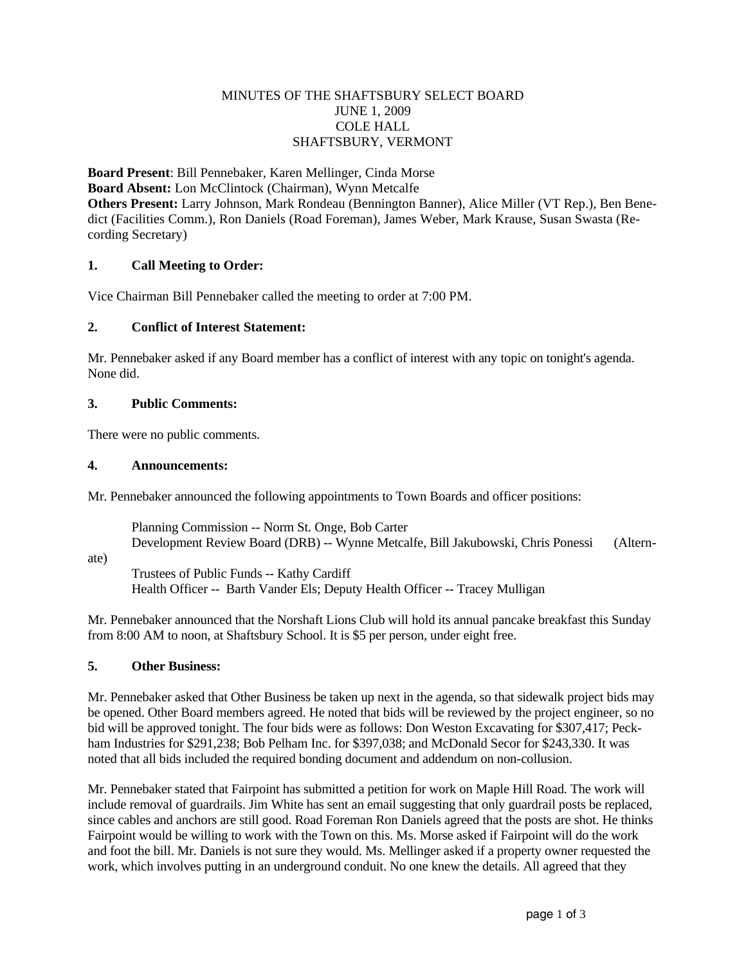## MINUTES OF THE SHAFTSBURY SELECT BOARD JUNE 1, 2009 COLE HALL SHAFTSBURY, VERMONT

**Board Present**: Bill Pennebaker, Karen Mellinger, Cinda Morse **Board Absent:** Lon McClintock (Chairman), Wynn Metcalfe **Others Present:** Larry Johnson, Mark Rondeau (Bennington Banner), Alice Miller (VT Rep.), Ben Benedict (Facilities Comm.), Ron Daniels (Road Foreman), James Weber, Mark Krause, Susan Swasta (Recording Secretary)

# **1. Call Meeting to Order:**

Vice Chairman Bill Pennebaker called the meeting to order at 7:00 PM.

#### **2. Conflict of Interest Statement:**

Mr. Pennebaker asked if any Board member has a conflict of interest with any topic on tonight's agenda. None did.

## **3. Public Comments:**

There were no public comments.

## **4. Announcements:**

Mr. Pennebaker announced the following appointments to Town Boards and officer positions:

Planning Commission -- Norm St. Onge, Bob Carter Development Review Board (DRB) -- Wynne Metcalfe, Bill Jakubowski, Chris Ponessi (Altern-

ate)

 Trustees of Public Funds -- Kathy Cardiff Health Officer -- Barth Vander Els; Deputy Health Officer -- Tracey Mulligan

Mr. Pennebaker announced that the Norshaft Lions Club will hold its annual pancake breakfast this Sunday from 8:00 AM to noon, at Shaftsbury School. It is \$5 per person, under eight free.

# **5. Other Business:**

Mr. Pennebaker asked that Other Business be taken up next in the agenda, so that sidewalk project bids may be opened. Other Board members agreed. He noted that bids will be reviewed by the project engineer, so no bid will be approved tonight. The four bids were as follows: Don Weston Excavating for \$307,417; Peckham Industries for \$291,238; Bob Pelham Inc. for \$397,038; and McDonald Secor for \$243,330. It was noted that all bids included the required bonding document and addendum on non-collusion.

Mr. Pennebaker stated that Fairpoint has submitted a petition for work on Maple Hill Road. The work will include removal of guardrails. Jim White has sent an email suggesting that only guardrail posts be replaced, since cables and anchors are still good. Road Foreman Ron Daniels agreed that the posts are shot. He thinks Fairpoint would be willing to work with the Town on this. Ms. Morse asked if Fairpoint will do the work and foot the bill. Mr. Daniels is not sure they would. Ms. Mellinger asked if a property owner requested the work, which involves putting in an underground conduit. No one knew the details. All agreed that they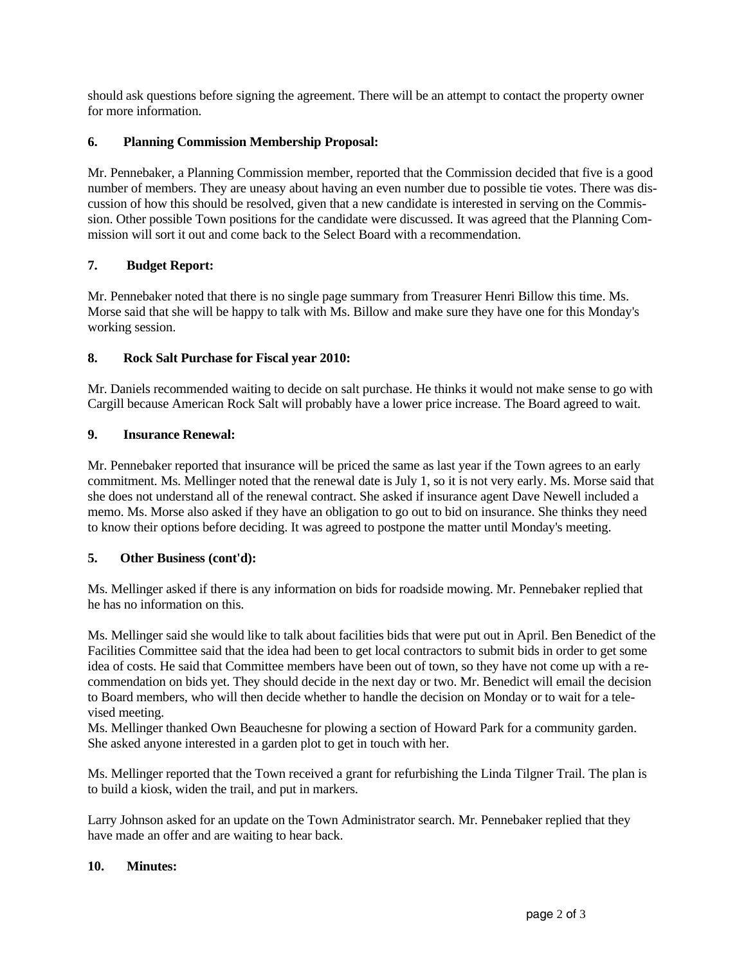should ask questions before signing the agreement. There will be an attempt to contact the property owner for more information.

# **6. Planning Commission Membership Proposal:**

Mr. Pennebaker, a Planning Commission member, reported that the Commission decided that five is a good number of members. They are uneasy about having an even number due to possible tie votes. There was discussion of how this should be resolved, given that a new candidate is interested in serving on the Commission. Other possible Town positions for the candidate were discussed. It was agreed that the Planning Commission will sort it out and come back to the Select Board with a recommendation.

# **7. Budget Report:**

Mr. Pennebaker noted that there is no single page summary from Treasurer Henri Billow this time. Ms. Morse said that she will be happy to talk with Ms. Billow and make sure they have one for this Monday's working session.

# **8. Rock Salt Purchase for Fiscal year 2010:**

Mr. Daniels recommended waiting to decide on salt purchase. He thinks it would not make sense to go with Cargill because American Rock Salt will probably have a lower price increase. The Board agreed to wait.

# **9. Insurance Renewal:**

Mr. Pennebaker reported that insurance will be priced the same as last year if the Town agrees to an early commitment. Ms. Mellinger noted that the renewal date is July 1, so it is not very early. Ms. Morse said that she does not understand all of the renewal contract. She asked if insurance agent Dave Newell included a memo. Ms. Morse also asked if they have an obligation to go out to bid on insurance. She thinks they need to know their options before deciding. It was agreed to postpone the matter until Monday's meeting.

# **5. Other Business (cont'd):**

Ms. Mellinger asked if there is any information on bids for roadside mowing. Mr. Pennebaker replied that he has no information on this.

Ms. Mellinger said she would like to talk about facilities bids that were put out in April. Ben Benedict of the Facilities Committee said that the idea had been to get local contractors to submit bids in order to get some idea of costs. He said that Committee members have been out of town, so they have not come up with a recommendation on bids yet. They should decide in the next day or two. Mr. Benedict will email the decision to Board members, who will then decide whether to handle the decision on Monday or to wait for a televised meeting.

Ms. Mellinger thanked Own Beauchesne for plowing a section of Howard Park for a community garden. She asked anyone interested in a garden plot to get in touch with her.

Ms. Mellinger reported that the Town received a grant for refurbishing the Linda Tilgner Trail. The plan is to build a kiosk, widen the trail, and put in markers.

Larry Johnson asked for an update on the Town Administrator search. Mr. Pennebaker replied that they have made an offer and are waiting to hear back.

#### **10. Minutes:**